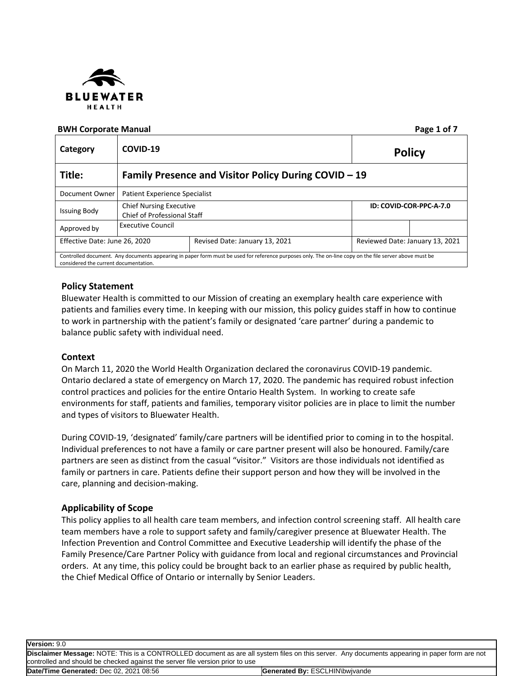

### **BWH Corporate Manual Page 1 of 7**

| Category                              | COVID-19<br><b>Policy</b>                                                                       |                                                                                                                                                        |                                 |  |
|---------------------------------------|-------------------------------------------------------------------------------------------------|--------------------------------------------------------------------------------------------------------------------------------------------------------|---------------------------------|--|
| Title:                                | Family Presence and Visitor Policy During COVID - 19                                            |                                                                                                                                                        |                                 |  |
| Document Owner                        | <b>Patient Experience Specialist</b>                                                            |                                                                                                                                                        |                                 |  |
| <b>Issuing Body</b>                   | <b>Chief Nursing Executive</b><br>ID: COVID-COR-PPC-A-7.0<br><b>Chief of Professional Staff</b> |                                                                                                                                                        |                                 |  |
| Approved by                           | Executive Council                                                                               |                                                                                                                                                        |                                 |  |
| Effective Date: June 26, 2020         |                                                                                                 | Revised Date: January 13, 2021                                                                                                                         | Reviewed Date: January 13, 2021 |  |
| considered the current documentation. |                                                                                                 | Controlled document. Any documents appearing in paper form must be used for reference purposes only. The on-line copy on the file server above must be |                                 |  |

# **Policy Statement**

Bluewater Health is committed to our Mission of creating an exemplary health care experience with patients and families every time. In keeping with our mission, this policy guides staff in how to continue to work in partnership with the patient's family or designated 'care partner' during a pandemic to balance public safety with individual need.

## **Context**

On March 11, 2020 the World Health Organization declared the coronavirus COVID-19 pandemic. Ontario declared a state of emergency on March 17, 2020. The pandemic has required robust infection control practices and policies for the entire Ontario Health System. In working to create safe environments for staff, patients and families, temporary visitor policies are in place to limit the number and types of visitors to Bluewater Health.

During COVID-19, 'designated' family/care partners will be identified prior to coming in to the hospital. Individual preferences to not have a family or care partner present will also be honoured. Family/care partners are seen as distinct from the casual "visitor." Visitors are those individuals not identified as family or partners in care. Patients define their support person and how they will be involved in the care, planning and decision-making.

## **Applicability of Scope**

This policy applies to all health care team members, and infection control screening staff. All health care team members have a role to support safety and family/caregiver presence at Bluewater Health. The Infection Prevention and Control Committee and Executive Leadership will identify the phase of the Family Presence/Care Partner Policy with guidance from local and regional circumstances and Provincial orders. At any time, this policy could be brought back to an earlier phase as required by public health, the Chief Medical Office of Ontario or internally by Senior Leaders.

**Version:** 9.0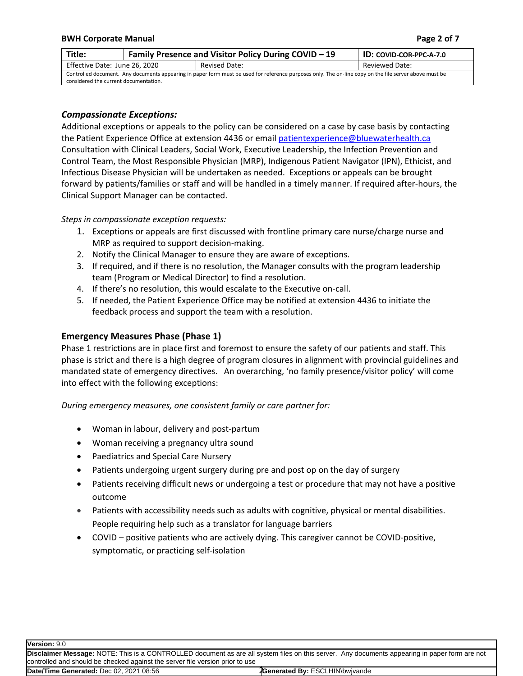#### **BWH** Corporate Manual **Page** 2 of 7

| Title:                                                                                                                                                 | <b>Family Presence and Visitor Policy During COVID - 19</b> |               | <b>ID: COVID-COR-PPC-A-7.0</b> |
|--------------------------------------------------------------------------------------------------------------------------------------------------------|-------------------------------------------------------------|---------------|--------------------------------|
| Effective Date: June 26, 2020                                                                                                                          |                                                             | Revised Date: | Reviewed Date:                 |
| Controlled document. Any documents appearing in paper form must be used for reference purposes only. The on-line copy on the file server above must be |                                                             |               |                                |
| considered the current documentation.                                                                                                                  |                                                             |               |                                |

## *Compassionate Exceptions:*

Additional exceptions or appeals to the policy can be considered on a case by case basis by contacting the Patient Experience Office at extension 4436 or email [patientexperience@bluewaterhealth.ca](mailto:patientexperience@bluewaterhealth.ca) Consultation with Clinical Leaders, Social Work, Executive Leadership, the Infection Prevention and Control Team, the Most Responsible Physician (MRP), Indigenous Patient Navigator (IPN), Ethicist, and Infectious Disease Physician will be undertaken as needed. Exceptions or appeals can be brought forward by patients/families or staff and will be handled in a timely manner. If required after-hours, the Clinical Support Manager can be contacted.

### *Steps in compassionate exception requests:*

- 1. Exceptions or appeals are first discussed with frontline primary care nurse/charge nurse and MRP as required to support decision-making.
- 2. Notify the Clinical Manager to ensure they are aware of exceptions.
- 3. If required, and if there is no resolution, the Manager consults with the program leadership team (Program or Medical Director) to find a resolution.
- 4. If there's no resolution, this would escalate to the Executive on-call.
- 5. If needed, the Patient Experience Office may be notified at extension 4436 to initiate the feedback process and support the team with a resolution.

## **Emergency Measures Phase (Phase 1)**

Phase 1 restrictions are in place first and foremost to ensure the safety of our patients and staff. This phase is strict and there is a high degree of program closures in alignment with provincial guidelines and mandated state of emergency directives. An overarching, 'no family presence/visitor policy' will come into effect with the following exceptions:

*During emergency measures, one consistent family or care partner for:*

- Woman in labour, delivery and post-partum
- Woman receiving a pregnancy ultra sound
- Paediatrics and Special Care Nursery
- Patients undergoing urgent surgery during pre and post op on the day of surgery
- Patients receiving difficult news or undergoing a test or procedure that may not have a positive outcome
- Patients with accessibility needs such as adults with cognitive, physical or mental disabilities. People requiring help such as a translator for language barriers
- COVID positive patients who are actively dying. This caregiver cannot be COVID-positive, symptomatic, or practicing self-isolation

**Version:** 9.0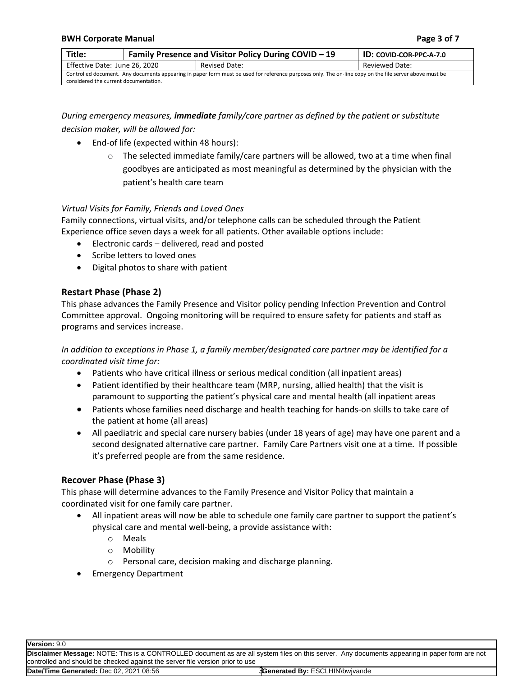| Title:                                                                                                                                                 | Family Presence and Visitor Policy During COVID - 19 | <b>ID: COVID-COR-PPC-A-7.0</b> |                |
|--------------------------------------------------------------------------------------------------------------------------------------------------------|------------------------------------------------------|--------------------------------|----------------|
| Effective Date: June 26, 2020                                                                                                                          |                                                      | Revised Date:                  | Reviewed Date: |
| Controlled document. Any documents appearing in paper form must be used for reference purposes only. The on-line copy on the file server above must be |                                                      |                                |                |
| considered the current documentation.                                                                                                                  |                                                      |                                |                |

*During emergency measures, immediate family/care partner as defined by the patient or substitute decision maker, will be allowed for:*

- End-of life (expected within 48 hours):
	- $\circ$  The selected immediate family/care partners will be allowed, two at a time when final goodbyes are anticipated as most meaningful as determined by the physician with the patient's health care team

## *Virtual Visits for Family, Friends and Loved Ones*

Family connections, virtual visits, and/or telephone calls can be scheduled through the Patient Experience office seven days a week for all patients. Other available options include:

- Electronic cards delivered, read and posted
- Scribe letters to loved ones
- Digital photos to share with patient

# **Restart Phase (Phase 2)**

This phase advances the Family Presence and Visitor policy pending Infection Prevention and Control Committee approval. Ongoing monitoring will be required to ensure safety for patients and staff as programs and services increase.

*In addition to exceptions in Phase 1, a family member/designated care partner may be identified for a coordinated visit time for:*

- Patients who have critical illness or serious medical condition (all inpatient areas)
- Patient identified by their healthcare team (MRP, nursing, allied health) that the visit is paramount to supporting the patient's physical care and mental health (all inpatient areas
- Patients whose families need discharge and health teaching for hands-on skills to take care of the patient at home (all areas)
- All paediatric and special care nursery babies (under 18 years of age) may have one parent and a second designated alternative care partner. Family Care Partners visit one at a time. If possible it's preferred people are from the same residence.

## **Recover Phase (Phase 3)**

This phase will determine advances to the Family Presence and Visitor Policy that maintain a coordinated visit for one family care partner.

- All inpatient areas will now be able to schedule one family care partner to support the patient's physical care and mental well-being, a provide assistance with:
	- o Meals
	- o Mobility
	- o Personal care, decision making and discharge planning.
- Emergency Department

**Version:** 9.0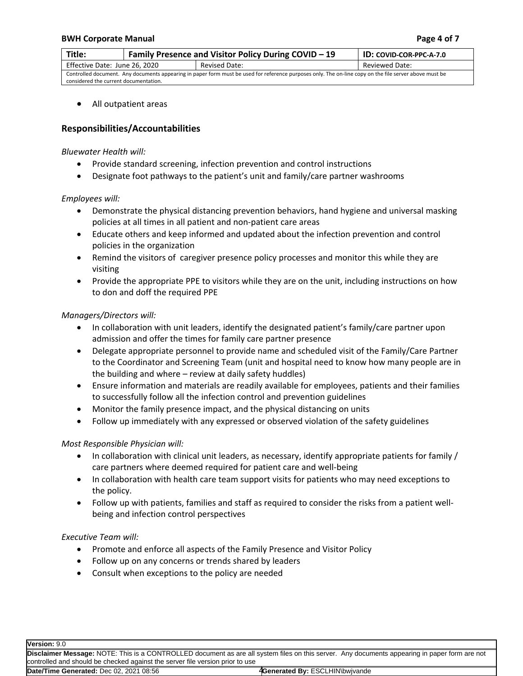#### **BWH** Corporate Manual **Page 1** *Page* **4 of 7**

| Title:                                                                                                                                                 | <b>Family Presence and Visitor Policy During COVID - 19</b> |               | <b>ID: COVID-COR-PPC-A-7.0</b> |
|--------------------------------------------------------------------------------------------------------------------------------------------------------|-------------------------------------------------------------|---------------|--------------------------------|
| Effective Date: June 26, 2020                                                                                                                          |                                                             | Revised Date: | Reviewed Date:                 |
| Controlled document. Any documents appearing in paper form must be used for reference purposes only. The on-line copy on the file server above must be |                                                             |               |                                |
| considered the current documentation.                                                                                                                  |                                                             |               |                                |

All outpatient areas

### **Responsibilities/Accountabilities**

#### *Bluewater Health will:*

- Provide standard screening, infection prevention and control instructions
- Designate foot pathways to the patient's unit and family/care partner washrooms

### *Employees will:*

- Demonstrate the physical distancing prevention behaviors, hand hygiene and universal masking policies at all times in all patient and non-patient care areas
- Educate others and keep informed and updated about the infection prevention and control policies in the organization
- Remind the visitors of caregiver presence policy processes and monitor this while they are visiting
- Provide the appropriate PPE to visitors while they are on the unit, including instructions on how to don and doff the required PPE

### *Managers/Directors will:*

- In collaboration with unit leaders, identify the designated patient's family/care partner upon admission and offer the times for family care partner presence
- Delegate appropriate personnel to provide name and scheduled visit of the Family/Care Partner to the Coordinator and Screening Team (unit and hospital need to know how many people are in the building and where – review at daily safety huddles)
- Ensure information and materials are readily available for employees, patients and their families to successfully follow all the infection control and prevention guidelines
- Monitor the family presence impact, and the physical distancing on units
- Follow up immediately with any expressed or observed violation of the safety guidelines

### *Most Responsible Physician will:*

- In collaboration with clinical unit leaders, as necessary, identify appropriate patients for family / care partners where deemed required for patient care and well-being
- In collaboration with health care team support visits for patients who may need exceptions to the policy.
- Follow up with patients, families and staff as required to consider the risks from a patient wellbeing and infection control perspectives

### *Executive Team will:*

- Promote and enforce all aspects of the Family Presence and Visitor Policy
- Follow up on any concerns or trends shared by leaders
- Consult when exceptions to the policy are needed

**Version:** 9.0

**Disclaimer Message:** NOTE: This is a CONTROLLED document as are all system files on this server. Any documents appearing in paper form are not controlled and should be checked against the server file version prior to use

**Date/Time Generated: Dec 02, 2021 08:56** 

4Generated By: ESCLHIN\bwjvande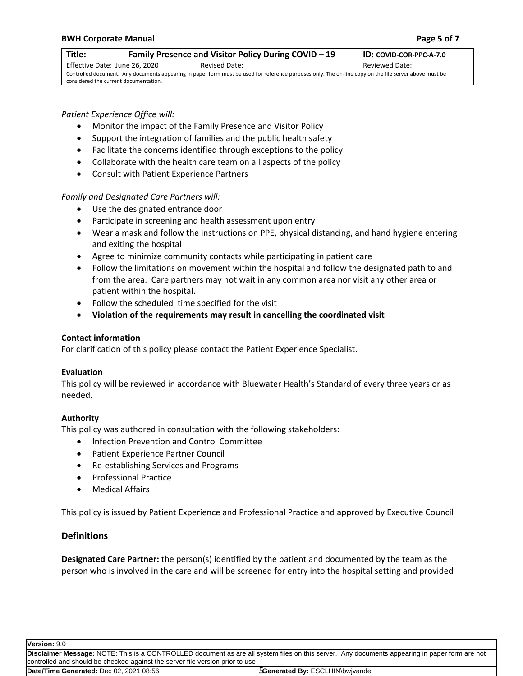#### **BWH** Corporate Manual **Page 1 Page 5** of **7**

considered the current documentation.

| Title:                                                                                                                                                 | <b>Family Presence and Visitor Policy During COVID - 19</b> |               | <b>ID: COVID-COR-PPC-A-7.0</b> |
|--------------------------------------------------------------------------------------------------------------------------------------------------------|-------------------------------------------------------------|---------------|--------------------------------|
| Effective Date: June 26, 2020                                                                                                                          |                                                             | Revised Date: | Reviewed Date:                 |
| Controlled document. Any documents appearing in paper form must be used for reference purposes only. The on-line copy on the file server above must be |                                                             |               |                                |

### *Patient Experience Office will:*

- Monitor the impact of the Family Presence and Visitor Policy
- Support the integration of families and the public health safety
- Facilitate the concerns identified through exceptions to the policy
- Collaborate with the health care team on all aspects of the policy
- Consult with Patient Experience Partners

*Family and Designated Care Partners will:*

- Use the designated entrance door
- Participate in screening and health assessment upon entry
- Wear a mask and follow the instructions on PPE, physical distancing, and hand hygiene entering and exiting the hospital
- Agree to minimize community contacts while participating in patient care
- Follow the limitations on movement within the hospital and follow the designated path to and from the area. Care partners may not wait in any common area nor visit any other area or patient within the hospital.
- Follow the scheduled time specified for the visit
- **Violation of the requirements may result in cancelling the coordinated visit**

### **Contact information**

For clarification of this policy please contact the Patient Experience Specialist.

### **Evaluation**

This policy will be reviewed in accordance with Bluewater Health's Standard of every three years or as needed.

### **Authority**

This policy was authored in consultation with the following stakeholders:

- Infection Prevention and Control Committee
- Patient Experience Partner Council
- Re-establishing Services and Programs
- **•** Professional Practice
- Medical Affairs

This policy is issued by Patient Experience and Professional Practice and approved by Executive Council

## **Definitions**

**Designated Care Partner:** the person(s) identified by the patient and documented by the team as the person who is involved in the care and will be screened for entry into the hospital setting and provided

**Version:** 9.0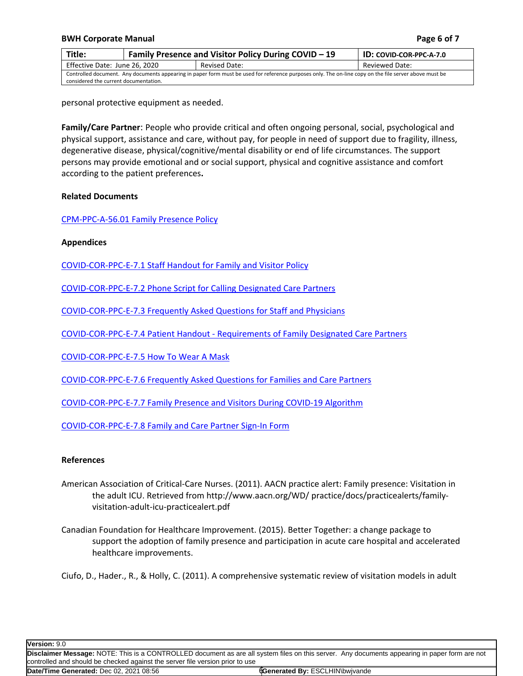#### **BWH** Corporate Manual **Page** 6 of 7

| Title:                                                                                                                                                 | Family Presence and Visitor Policy During COVID - 19 |               | <b>ID: COVID-COR-PPC-A-7.0</b> |
|--------------------------------------------------------------------------------------------------------------------------------------------------------|------------------------------------------------------|---------------|--------------------------------|
| Effective Date: June 26, 2020                                                                                                                          |                                                      | Revised Date: | Reviewed Date:                 |
| Controlled document. Any documents appearing in paper form must be used for reference purposes only. The on-line copy on the file server above must be |                                                      |               |                                |
| considered the current documentation.                                                                                                                  |                                                      |               |                                |

personal protective equipment as needed.

**Family/Care Partner**: People who provide critical and often ongoing personal, social, psychological and physical support, assistance and care, without pay, for people in need of support due to fragility, illness, degenerative disease, physical/cognitive/mental disability or end of life circumstances. The support persons may provide emotional and or social support, physical and cognitive assistance and comfort according to the patient preferences**.**

#### **Related Documents**

[CPM-PPC-A-56.01](http://policybwh.esclhin.on.ca/d.aspx?c=03B537CD8223) Family Presence Policy

**Appendices**

[COVID-COR-PPC-E-7.1](http://policybwh.esclhin.on.ca/d.aspx?c=CF41MFa8j5WF) Staff Handout for Family and Visitor Policy

[COVID-COR-PPC-E-7.2](http://policybwh.esclhin.on.ca/d.aspx?c=f7NCm4Y9RbDM) Phone Script for Calling Designated Care Partners

[COVID-COR-PPC-E-7.3](http://policybwh.esclhin.on.ca/d.aspx?c=d62LJ9ufl87B) Frequently Asked Questions for Staff and Physicians

[COVID-COR-PPC-E-7.4](http://policybwh.esclhin.on.ca/d.aspx?c=c0G421dj2E0d) Patient Handout - Requirements of Family Designated Care Partners

[COVID-COR-PPC-E-7.5](http://policybwh.esclhin.on.ca/d.aspx?c=e4b49aaj5Y8E) How To Wear A Mask

[COVID-COR-PPC-E-7.6](http://policybwh.esclhin.on.ca/d.aspx?c=03Cw0CB808Y0) Frequently Asked Questions for Families and Care Partners

[COVID-COR-PPC-E-7.7](http://policybwh.esclhin.on.ca/d.aspx?c=5CFaG30b7Fb5) Family Presence and Visitors During COVID-19 Algorithm

[COVID-COR-PPC-E-7.8](http://policybwh.esclhin.on.ca/d.aspx?c=1Bl9PCcu0434) Family and Care Partner Sign-In Form

### **References**

- American Association of Critical-Care Nurses. (2011). AACN practice alert: Family presence: Visitation in the adult ICU. Retrieved from http://www.aacn.org/WD/ practice/docs/practicealerts/familyvisitation-adult-icu-practicealert.pdf
- Canadian Foundation for Healthcare Improvement. (2015). Better Together: a change package to support the adoption of family presence and participation in acute care hospital and accelerated healthcare improvements.

Ciufo, D., Hader., R., & Holly, C. (2011). A comprehensive systematic review of visitation models in adult

**Version:** 9.0 **Disclaimer Message:** NOTE: This is a CONTROLLED document as are all system files on this server. Any documents appearing in paper form are not controlled and should be checked against the server file version prior to use **Date/Time Generated: Dec 02, 2021 08:56** Generated By: ESCLHIN\bwjvande